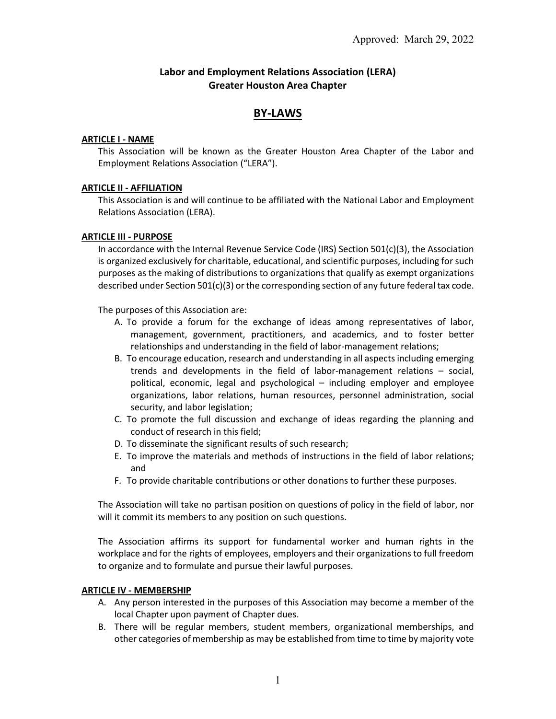# **Labor and Employment Relations Association (LERA) Greater Houston Area Chapter**

# **BY-LAWS**

### **ARTICLE I - NAME**

This Association will be known as the Greater Houston Area Chapter of the Labor and Employment Relations Association ("LERA").

## **ARTICLE II - AFFILIATION**

This Association is and will continue to be affiliated with the National Labor and Employment Relations Association (LERA).

### **ARTICLE III - PURPOSE**

In accordance with the Internal Revenue Service Code (IRS) Section 501(c)(3), the Association is organized exclusively for charitable, educational, and scientific purposes, including for such purposes as the making of distributions to organizations that qualify as exempt organizations described under Section 501(c)(3) or the corresponding section of any future federal tax code.

The purposes of this Association are:

- A. To provide a forum for the exchange of ideas among representatives of labor, management, government, practitioners, and academics, and to foster better relationships and understanding in the field of labor-management relations;
- B. To encourage education, research and understanding in all aspectsincluding emerging trends and developments in the field of labor-management relations – social, political, economic, legal and psychological – including employer and employee organizations, labor relations, human resources, personnel administration, social security, and labor legislation;
- C. To promote the full discussion and exchange of ideas regarding the planning and conduct of research in this field;
- D. To disseminate the significant results of such research;
- E. To improve the materials and methods of instructions in the field of labor relations; and
- F. To provide charitable contributions or other donations to further these purposes.

The Association will take no partisan position on questions of policy in the field of labor, nor will it commit its members to any position on such questions.

The Association affirms its support for fundamental worker and human rights in the workplace and for the rights of employees, employers and their organizations to full freedom to organize and to formulate and pursue their lawful purposes.

## **ARTICLE IV - MEMBERSHIP**

- A. Any person interested in the purposes of this Association may become a member of the local Chapter upon payment of Chapter dues.
- B. There will be regular members, student members, organizational memberships, and other categories of membership as may be established from time to time by majority vote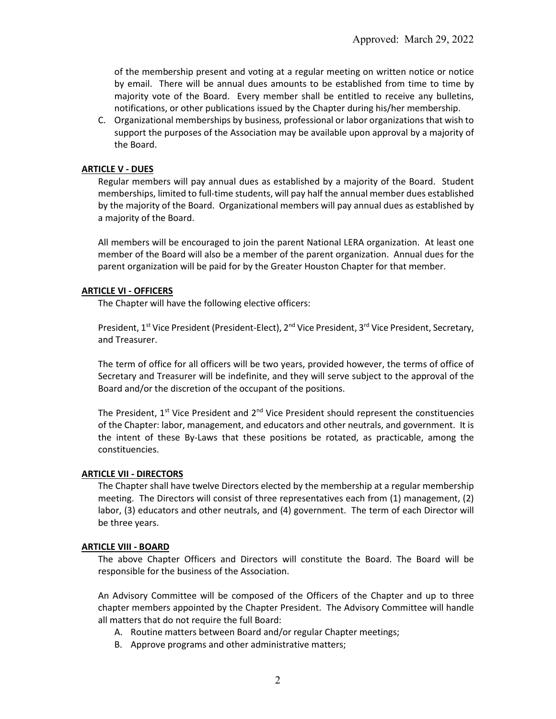of the membership present and voting at a regular meeting on written notice or notice by email. There will be annual dues amounts to be established from time to time by majority vote of the Board. Every member shall be entitled to receive any bulletins, notifications, or other publications issued by the Chapter during his/her membership.

C. Organizational memberships by business, professional or labor organizations that wish to support the purposes of the Association may be available upon approval by a majority of the Board.

## **ARTICLE V - DUES**

Regular members will pay annual dues as established by a majority of the Board. Student memberships, limited to full-time students, will pay half the annual member dues established by the majority of the Board. Organizational members will pay annual dues as established by a majority of the Board.

All members will be encouraged to join the parent National LERA organization. At least one member of the Board will also be a member of the parent organization. Annual dues for the parent organization will be paid for by the Greater Houston Chapter for that member.

## **ARTICLE VI - OFFICERS**

The Chapter will have the following elective officers:

President, 1<sup>st</sup> Vice President (President-Elect), 2<sup>nd</sup> Vice President, 3<sup>rd</sup> Vice President, Secretary, and Treasurer.

The term of office for all officers will be two years, provided however, the terms of office of Secretary and Treasurer will be indefinite, and they will serve subject to the approval of the Board and/or the discretion of the occupant of the positions.

The President,  $1^{st}$  Vice President and  $2^{nd}$  Vice President should represent the constituencies of the Chapter: labor, management, and educators and other neutrals, and government. It is the intent of these By-Laws that these positions be rotated, as practicable, among the constituencies.

## **ARTICLE VII - DIRECTORS**

The Chapter shall have twelve Directors elected by the membership at a regular membership meeting. The Directors will consist of three representatives each from (1) management, (2) labor, (3) educators and other neutrals, and (4) government. The term of each Director will be three years.

## **ARTICLE VIII - BOARD**

The above Chapter Officers and Directors will constitute the Board. The Board will be responsible for the business of the Association.

An Advisory Committee will be composed of the Officers of the Chapter and up to three chapter members appointed by the Chapter President. The Advisory Committee will handle all matters that do not require the full Board:

- A. Routine matters between Board and/or regular Chapter meetings;
- B. Approve programs and other administrative matters;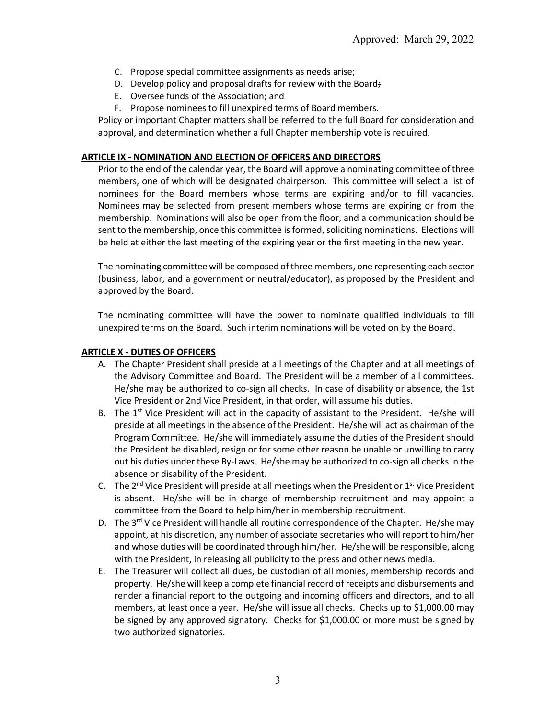- C. Propose special committee assignments as needs arise;
- D. Develop policy and proposal drafts for review with the Board;
- E. Oversee funds of the Association; and
- F. Propose nominees to fill unexpired terms of Board members.

Policy or important Chapter matters shall be referred to the full Board for consideration and approval, and determination whether a full Chapter membership vote is required.

### **ARTICLE IX - NOMINATION AND ELECTION OF OFFICERS AND DIRECTORS**

Prior to the end of the calendar year, the Board will approve a nominating committee of three members, one of which will be designated chairperson. This committee will select a list of nominees for the Board members whose terms are expiring and/or to fill vacancies. Nominees may be selected from present members whose terms are expiring or from the membership. Nominations will also be open from the floor, and a communication should be sent to the membership, once this committee is formed, soliciting nominations. Elections will be held at either the last meeting of the expiring year or the first meeting in the new year.

The nominating committee will be composed of three members, one representing each sector (business, labor, and a government or neutral/educator), as proposed by the President and approved by the Board.

The nominating committee will have the power to nominate qualified individuals to fill unexpired terms on the Board. Such interim nominations will be voted on by the Board.

### **ARTICLE X - DUTIES OF OFFICERS**

- A. The Chapter President shall preside at all meetings of the Chapter and at all meetings of the Advisory Committee and Board. The President will be a member of all committees. He/she may be authorized to co-sign all checks. In case of disability or absence, the 1st Vice President or 2nd Vice President, in that order, will assume his duties.
- B. The  $1<sup>st</sup>$  Vice President will act in the capacity of assistant to the President. He/she will preside at all meetings in the absence of the President. He/she will act as chairman of the Program Committee. He/she will immediately assume the duties of the President should the President be disabled, resign or for some other reason be unable or unwilling to carry out his duties under these By-Laws. He/she may be authorized to co-sign all checks in the absence or disability of the President.
- C. The  $2^{nd}$  Vice President will preside at all meetings when the President or  $1^{st}$  Vice President is absent. He/she will be in charge of membership recruitment and may appoint a committee from the Board to help him/her in membership recruitment.
- D. The 3<sup>rd</sup> Vice President will handle all routine correspondence of the Chapter. He/she may appoint, at his discretion, any number of associate secretaries who will report to him/her and whose duties will be coordinated through him/her. He/she will be responsible, along with the President, in releasing all publicity to the press and other news media.
- E. The Treasurer will collect all dues, be custodian of all monies, membership records and property. He/she will keep a complete financial record of receipts and disbursements and render a financial report to the outgoing and incoming officers and directors, and to all members, at least once a year. He/she will issue all checks. Checks up to \$1,000.00 may be signed by any approved signatory. Checks for \$1,000.00 or more must be signed by two authorized signatories.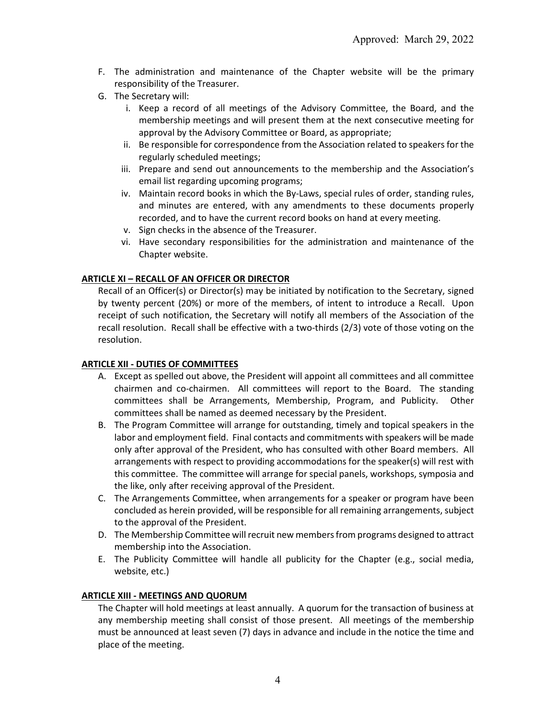- F. The administration and maintenance of the Chapter website will be the primary responsibility of the Treasurer.
- G. The Secretary will:
	- i. Keep a record of all meetings of the Advisory Committee, the Board, and the membership meetings and will present them at the next consecutive meeting for approval by the Advisory Committee or Board, as appropriate;
	- ii. Be responsible for correspondence from the Association related to speakers for the regularly scheduled meetings;
	- iii. Prepare and send out announcements to the membership and the Association's email list regarding upcoming programs;
	- iv. Maintain record books in which the By-Laws, special rules of order, standing rules, and minutes are entered, with any amendments to these documents properly recorded, and to have the current record books on hand at every meeting.
	- v. Sign checks in the absence of the Treasurer.
	- vi. Have secondary responsibilities for the administration and maintenance of the Chapter website.

# **ARTICLE XI – RECALL OF AN OFFICER OR DIRECTOR**

Recall of an Officer(s) or Director(s) may be initiated by notification to the Secretary, signed by twenty percent (20%) or more of the members, of intent to introduce a Recall. Upon receipt of such notification, the Secretary will notify all members of the Association of the recall resolution. Recall shall be effective with a two-thirds (2/3) vote of those voting on the resolution.

## **ARTICLE XII - DUTIES OF COMMITTEES**

- A. Except as spelled out above, the President will appoint all committees and all committee chairmen and co-chairmen. All committees will report to the Board. The standing committees shall be Arrangements, Membership, Program, and Publicity. Other committees shall be named as deemed necessary by the President.
- B. The Program Committee will arrange for outstanding, timely and topical speakers in the labor and employment field. Final contacts and commitments with speakers will be made only after approval of the President, who has consulted with other Board members. All arrangements with respect to providing accommodations for the speaker(s) will rest with this committee. The committee will arrange for special panels, workshops, symposia and the like, only after receiving approval of the President.
- C. The Arrangements Committee, when arrangements for a speaker or program have been concluded as herein provided, will be responsible for all remaining arrangements, subject to the approval of the President.
- D. The Membership Committee will recruit new members from programs designed to attract membership into the Association.
- E. The Publicity Committee will handle all publicity for the Chapter (e.g., social media, website, etc.)

## **ARTICLE XIII - MEETINGS AND QUORUM**

The Chapter will hold meetings at least annually. A quorum for the transaction of business at any membership meeting shall consist of those present. All meetings of the membership must be announced at least seven (7) days in advance and include in the notice the time and place of the meeting.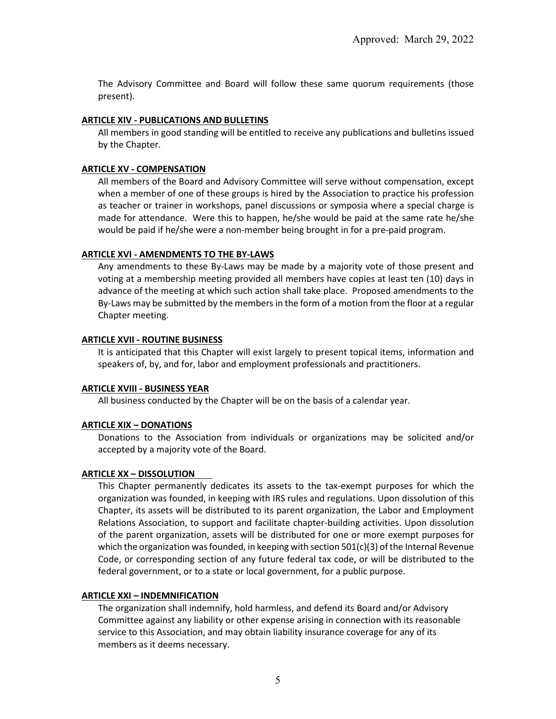The Advisory Committee and Board will follow these same quorum requirements (those present).

### **ARTICLE XIV - PUBLICATIONS AND BULLETINS**

All members in good standing will be entitled to receive any publications and bulletins issued by the Chapter.

### **ARTICLE XV - COMPENSATION**

All members of the Board and Advisory Committee will serve without compensation, except when a member of one of these groups is hired by the Association to practice his profession as teacher or trainer in workshops, panel discussions or symposia where a special charge is made for attendance. Were this to happen, he/she would be paid at the same rate he/she would be paid if he/she were a non-member being brought in for a pre-paid program.

### **ARTICLE XVI - AMENDMENTS TO THE BY-LAWS**

Any amendments to these By-Laws may be made by a majority vote of those present and voting at a membership meeting provided all members have copies at least ten (10) days in advance of the meeting at which such action shall take place. Proposed amendments to the By-Laws may be submitted by the members in the form of a motion from the floor at a regular Chapter meeting.

### **ARTICLE XVII - ROUTINE BUSINESS**

It is anticipated that this Chapter will exist largely to present topical items, information and speakers of, by, and for, labor and employment professionals and practitioners.

### **ARTICLE XVIII - BUSINESS YEAR**

All business conducted by the Chapter will be on the basis of a calendar year.

## **ARTICLE XIX – DONATIONS**

Donations to the Association from individuals or organizations may be solicited and/or accepted by a majority vote of the Board.

## **ARTICLE XX – DISSOLUTION**

This Chapter permanently dedicates its assets to the tax-exempt purposes for which the organization was founded, in keeping with IRS rules and regulations. Upon dissolution of this Chapter, its assets will be distributed to its parent organization, the Labor and Employment Relations Association, to support and facilitate chapter-building activities. Upon dissolution of the parent organization, assets will be distributed for one or more exempt purposes for which the organization was founded, in keeping with section  $501(c)(3)$  of the Internal Revenue Code, or corresponding section of any future federal tax code, or will be distributed to the federal government, or to a state or local government, for a public purpose.

### **ARTICLE XXI – INDEMNIFICATION**

The organization shall indemnify, hold harmless, and defend its Board and/or Advisory Committee against any liability or other expense arising in connection with its reasonable service to this Association, and may obtain liability insurance coverage for any of its members as it deems necessary.